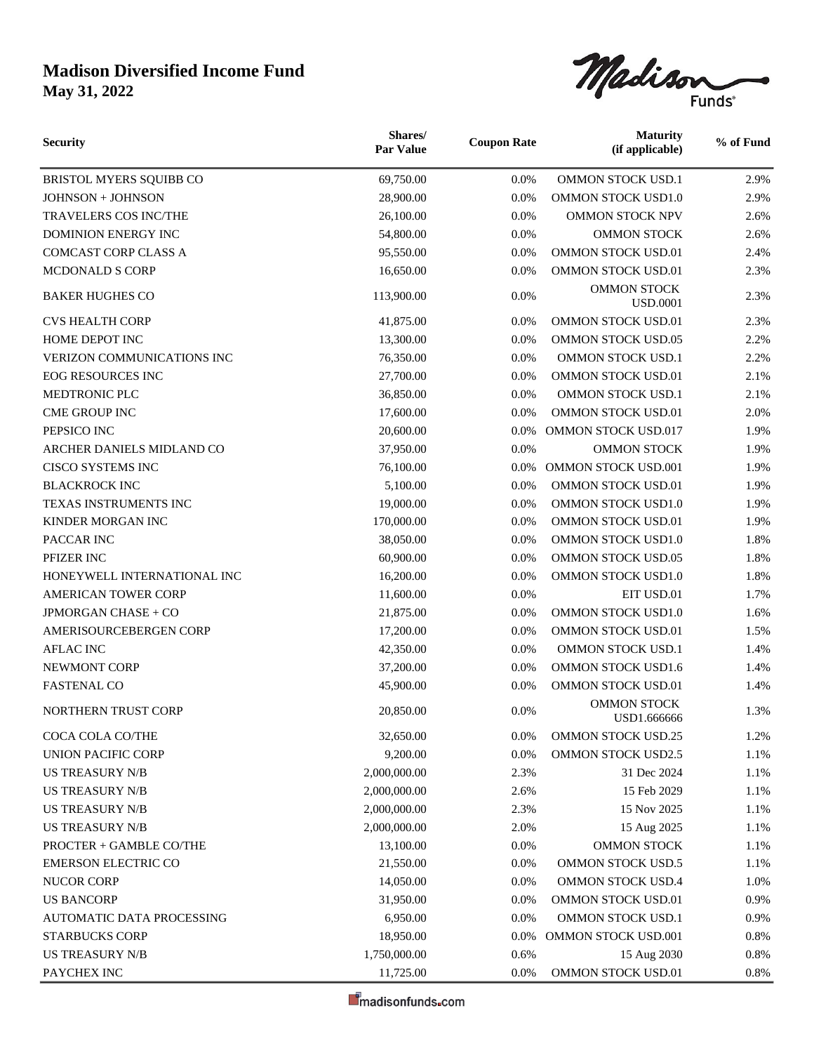

| <b>Security</b>                   | Shares/<br><b>Par Value</b> | <b>Coupon Rate</b> | <b>Maturity</b><br>(if applicable)    | % of Fund |
|-----------------------------------|-----------------------------|--------------------|---------------------------------------|-----------|
| BRISTOL MYERS SQUIBB CO           | 69,750.00                   | 0.0%               | OMMON STOCK USD.1                     | 2.9%      |
| JOHNSON + JOHNSON                 | 28,900.00                   | 0.0%               | OMMON STOCK USD1.0                    | 2.9%      |
| <b>TRAVELERS COS INC/THE</b>      | 26,100.00                   | 0.0%               | <b>OMMON STOCK NPV</b>                | 2.6%      |
| <b>DOMINION ENERGY INC</b>        | 54,800.00                   | 0.0%               | <b>OMMON STOCK</b>                    | 2.6%      |
| <b>COMCAST CORP CLASS A</b>       | 95,550.00                   | 0.0%               | <b>OMMON STOCK USD.01</b>             | 2.4%      |
| <b>MCDONALD S CORP</b>            | 16,650.00                   | 0.0%               | OMMON STOCK USD.01                    | 2.3%      |
| <b>BAKER HUGHES CO</b>            | 113,900.00                  | 0.0%               | <b>OMMON STOCK</b><br><b>USD.0001</b> | 2.3%      |
| <b>CVS HEALTH CORP</b>            | 41,875.00                   | 0.0%               | <b>OMMON STOCK USD.01</b>             | 2.3%      |
| HOME DEPOT INC                    | 13,300.00                   | 0.0%               | <b>OMMON STOCK USD.05</b>             | 2.2%      |
| <b>VERIZON COMMUNICATIONS INC</b> | 76,350.00                   | 0.0%               | OMMON STOCK USD.1                     | 2.2%      |
| <b>EOG RESOURCES INC</b>          | 27,700.00                   | 0.0%               | <b>OMMON STOCK USD.01</b>             | 2.1%      |
| MEDTRONIC PLC                     | 36,850.00                   | 0.0%               | <b>OMMON STOCK USD.1</b>              | 2.1%      |
| <b>CME GROUP INC</b>              | 17,600.00                   | 0.0%               | OMMON STOCK USD.01                    | 2.0%      |
| PEPSICO INC                       | 20,600.00                   | 0.0%               | <b>OMMON STOCK USD.017</b>            | 1.9%      |
| ARCHER DANIELS MIDLAND CO         | 37,950.00                   | 0.0%               | <b>OMMON STOCK</b>                    | 1.9%      |
| <b>CISCO SYSTEMS INC</b>          | 76,100.00                   | 0.0%               | <b>OMMON STOCK USD.001</b>            | 1.9%      |
| <b>BLACKROCK INC</b>              | 5,100.00                    | 0.0%               | <b>OMMON STOCK USD.01</b>             | 1.9%      |
| TEXAS INSTRUMENTS INC             | 19,000.00                   | 0.0%               | <b>OMMON STOCK USD1.0</b>             | 1.9%      |
| KINDER MORGAN INC                 | 170,000.00                  | 0.0%               | OMMON STOCK USD.01                    | 1.9%      |
| PACCAR INC                        | 38,050.00                   | 0.0%               | OMMON STOCK USD1.0                    | 1.8%      |
| PFIZER INC                        | 60,900.00                   | 0.0%               | OMMON STOCK USD.05                    | 1.8%      |
| HONEYWELL INTERNATIONAL INC       | 16,200.00                   | 0.0%               | OMMON STOCK USD1.0                    | 1.8%      |
| <b>AMERICAN TOWER CORP</b>        | 11,600.00                   | 0.0%               | EIT USD.01                            | 1.7%      |
| <b>JPMORGAN CHASE + CO</b>        | 21,875.00                   | 0.0%               | OMMON STOCK USD1.0                    | 1.6%      |
| AMERISOURCEBERGEN CORP            | 17,200.00                   | 0.0%               | <b>OMMON STOCK USD.01</b>             | 1.5%      |
| <b>AFLAC INC</b>                  | 42,350.00                   | 0.0%               | <b>OMMON STOCK USD.1</b>              | 1.4%      |
| NEWMONT CORP                      | 37,200.00                   | 0.0%               | <b>OMMON STOCK USD1.6</b>             | 1.4%      |
| <b>FASTENAL CO</b>                | 45,900.00                   | 0.0%               | OMMON STOCK USD.01                    | 1.4%      |
| <b>NORTHERN TRUST CORP</b>        | 20,850.00                   | $0.0\%$            | <b>OMMON STOCK</b><br>USD1.666666     | 1.3%      |
| COCA COLA CO/THE                  | 32,650.00                   | 0.0%               | <b>OMMON STOCK USD.25</b>             | 1.2%      |
| UNION PACIFIC CORP                | 9,200.00                    | 0.0%               | OMMON STOCK USD2.5                    | 1.1%      |
| <b>US TREASURY N/B</b>            | 2,000,000.00                | 2.3%               | 31 Dec 2024                           | 1.1%      |
| <b>US TREASURY N/B</b>            | 2,000,000.00                | 2.6%               | 15 Feb 2029                           | 1.1%      |
| <b>US TREASURY N/B</b>            | 2,000,000.00                | 2.3%               | 15 Nov 2025                           | 1.1%      |
| <b>US TREASURY N/B</b>            | 2,000,000.00                | 2.0%               | 15 Aug 2025                           | 1.1%      |
| PROCTER + GAMBLE CO/THE           | 13,100.00                   | 0.0%               | <b>OMMON STOCK</b>                    | 1.1%      |
| <b>EMERSON ELECTRIC CO</b>        | 21,550.00                   | 0.0%               | <b>OMMON STOCK USD.5</b>              | 1.1%      |
| <b>NUCOR CORP</b>                 | 14,050.00                   | 0.0%               | <b>OMMON STOCK USD.4</b>              | 1.0%      |
| <b>US BANCORP</b>                 | 31,950.00                   | 0.0%               | OMMON STOCK USD.01                    | 0.9%      |
| AUTOMATIC DATA PROCESSING         | 6,950.00                    | 0.0%               | <b>OMMON STOCK USD.1</b>              | 0.9%      |
| <b>STARBUCKS CORP</b>             | 18,950.00                   | 0.0%               | OMMON STOCK USD.001                   | 0.8%      |
| <b>US TREASURY N/B</b>            | 1,750,000.00                | 0.6%               | 15 Aug 2030                           | 0.8%      |
| PAYCHEX INC                       | 11,725.00                   | 0.0%               | OMMON STOCK USD.01                    | 0.8%      |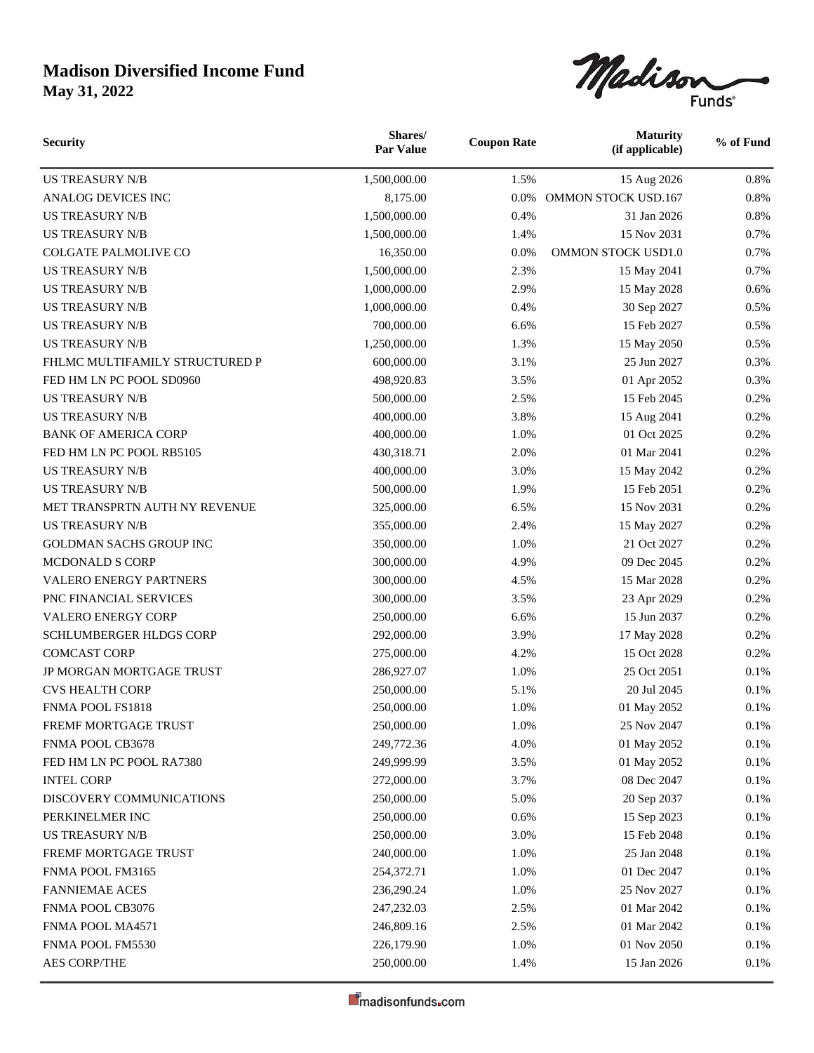

| <b>Security</b>                | Shares/<br><b>Par Value</b> | <b>Coupon Rate</b> | <b>Maturity</b><br>(if applicable) | % of Fund |
|--------------------------------|-----------------------------|--------------------|------------------------------------|-----------|
| <b>US TREASURY N/B</b>         | 1,500,000.00                | 1.5%               | 15 Aug 2026                        | 0.8%      |
| ANALOG DEVICES INC             | 8,175.00                    | 0.0%               | <b>OMMON STOCK USD.167</b>         | 0.8%      |
| <b>US TREASURY N/B</b>         | 1,500,000.00                | 0.4%               | 31 Jan 2026                        | 0.8%      |
| <b>US TREASURY N/B</b>         | 1,500,000.00                | 1.4%               | 15 Nov 2031                        | 0.7%      |
| <b>COLGATE PALMOLIVE CO</b>    | 16,350.00                   | 0.0%               | <b>OMMON STOCK USD1.0</b>          | 0.7%      |
| <b>US TREASURY N/B</b>         | 1,500,000.00                | 2.3%               | 15 May 2041                        | 0.7%      |
| <b>US TREASURY N/B</b>         | 1,000,000.00                | 2.9%               | 15 May 2028                        | 0.6%      |
| <b>US TREASURY N/B</b>         | 1,000,000.00                | 0.4%               | 30 Sep 2027                        | 0.5%      |
| <b>US TREASURY N/B</b>         | 700,000.00                  | 6.6%               | 15 Feb 2027                        | 0.5%      |
| <b>US TREASURY N/B</b>         | 1,250,000.00                | 1.3%               | 15 May 2050                        | 0.5%      |
| FHLMC MULTIFAMILY STRUCTURED P | 600,000.00                  | 3.1%               | 25 Jun 2027                        | 0.3%      |
| FED HM LN PC POOL SD0960       | 498,920.83                  | 3.5%               | 01 Apr 2052                        | 0.3%      |
| <b>US TREASURY N/B</b>         | 500,000.00                  | 2.5%               | 15 Feb 2045                        | 0.2%      |
| <b>US TREASURY N/B</b>         | 400,000.00                  | 3.8%               | 15 Aug 2041                        | 0.2%      |
| <b>BANK OF AMERICA CORP</b>    | 400,000.00                  | 1.0%               | 01 Oct 2025                        | 0.2%      |
| FED HM LN PC POOL RB5105       | 430,318.71                  | 2.0%               | 01 Mar 2041                        | 0.2%      |
| <b>US TREASURY N/B</b>         | 400,000.00                  | 3.0%               | 15 May 2042                        | 0.2%      |
| <b>US TREASURY N/B</b>         | 500,000.00                  | 1.9%               | 15 Feb 2051                        | 0.2%      |
| MET TRANSPRTN AUTH NY REVENUE  | 325,000.00                  | 6.5%               | 15 Nov 2031                        | 0.2%      |
| <b>US TREASURY N/B</b>         | 355,000.00                  | 2.4%               | 15 May 2027                        | 0.2%      |
| <b>GOLDMAN SACHS GROUP INC</b> | 350,000.00                  | 1.0%               | 21 Oct 2027                        | 0.2%      |
| MCDONALD S CORP                | 300,000.00                  | 4.9%               | 09 Dec 2045                        | 0.2%      |
| VALERO ENERGY PARTNERS         | 300,000.00                  | 4.5%               | 15 Mar 2028                        | 0.2%      |
| PNC FINANCIAL SERVICES         | 300,000.00                  | 3.5%               | 23 Apr 2029                        | 0.2%      |
| <b>VALERO ENERGY CORP</b>      | 250,000.00                  | 6.6%               | 15 Jun 2037                        | 0.2%      |
| SCHLUMBERGER HLDGS CORP        | 292,000.00                  | 3.9%               | 17 May 2028                        | 0.2%      |
| <b>COMCAST CORP</b>            | 275,000.00                  | 4.2%               | 15 Oct 2028                        | 0.2%      |
| JP MORGAN MORTGAGE TRUST       | 286,927.07                  | 1.0%               | 25 Oct 2051                        | 0.1%      |
| <b>CVS HEALTH CORP</b>         | 250,000.00                  | 5.1%               | 20 Jul 2045                        | 0.1%      |
| FNMA POOL FS1818               | 250,000.00                  | 1.0%               | 01 May 2052                        | 0.1%      |
| FREMF MORTGAGE TRUST           | 250,000.00                  | 1.0%               | 25 Nov 2047                        | $0.1\%$   |
| FNMA POOL CB3678               | 249,772.36                  | 4.0%               | 01 May 2052                        | 0.1%      |
| FED HM LN PC POOL RA7380       | 249,999.99                  | 3.5%               | 01 May 2052                        | 0.1%      |
| <b>INTEL CORP</b>              | 272,000.00                  | 3.7%               | 08 Dec 2047                        | 0.1%      |
| DISCOVERY COMMUNICATIONS       | 250,000.00                  | 5.0%               | 20 Sep 2037                        | 0.1%      |
| PERKINELMER INC                | 250,000.00                  | 0.6%               | 15 Sep 2023                        | $0.1\%$   |
| <b>US TREASURY N/B</b>         | 250,000.00                  | 3.0%               | 15 Feb 2048                        | 0.1%      |
| FREMF MORTGAGE TRUST           | 240,000.00                  | 1.0%               | 25 Jan 2048                        | 0.1%      |
| FNMA POOL FM3165               | 254,372.71                  | 1.0%               | 01 Dec 2047                        | 0.1%      |
| <b>FANNIEMAE ACES</b>          | 236,290.24                  | 1.0%               | 25 Nov 2027                        | 0.1%      |
| FNMA POOL CB3076               | 247,232.03                  | 2.5%               | 01 Mar 2042                        | 0.1%      |
| FNMA POOL MA4571               | 246,809.16                  | 2.5%               | 01 Mar 2042                        | 0.1%      |
| FNMA POOL FM5530               | 226,179.90                  | 1.0%               | 01 Nov 2050                        | 0.1%      |
| AES CORP/THE                   | 250,000.00                  | 1.4%               | 15 Jan 2026                        | 0.1%      |
|                                |                             |                    |                                    |           |

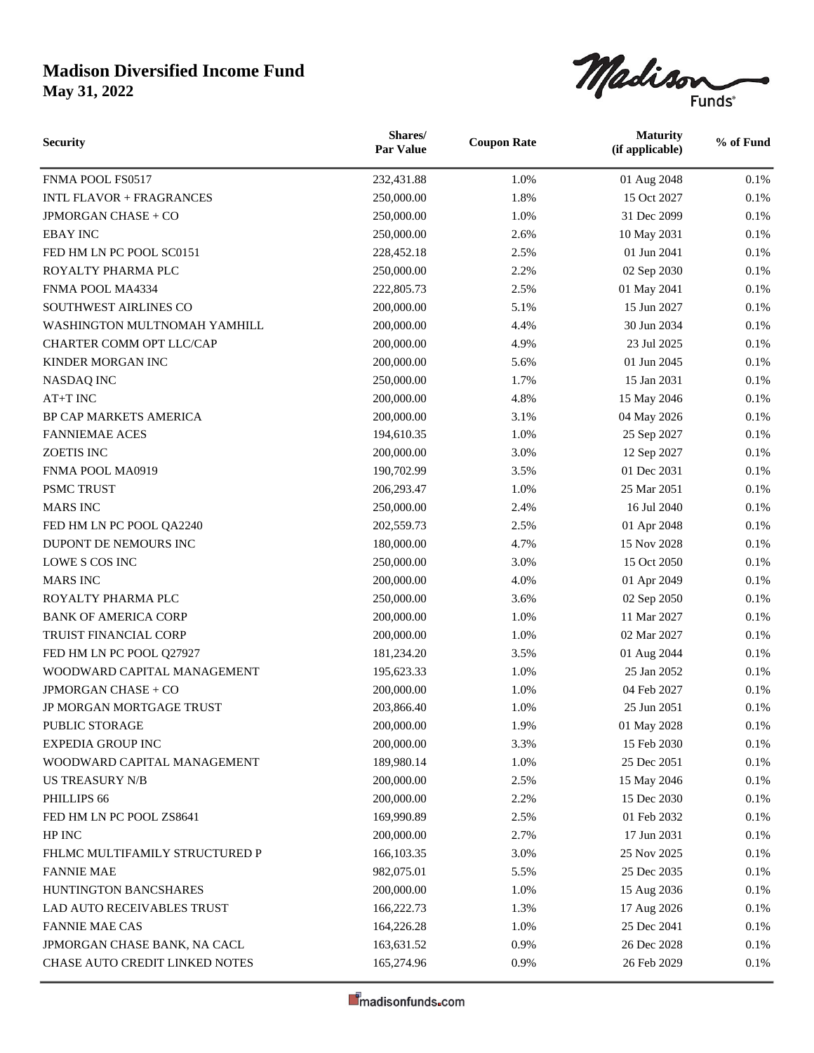

| <b>Security</b>                 | Shares/<br><b>Par Value</b> | <b>Coupon Rate</b> | <b>Maturity</b><br>(if applicable) | % of Fund |
|---------------------------------|-----------------------------|--------------------|------------------------------------|-----------|
| FNMA POOL FS0517                | 232,431.88                  | 1.0%               | 01 Aug 2048                        | 0.1%      |
| <b>INTL FLAVOR + FRAGRANCES</b> | 250,000.00                  | 1.8%               | 15 Oct 2027                        | 0.1%      |
| JPMORGAN CHASE + CO             | 250,000.00                  | 1.0%               | 31 Dec 2099                        | 0.1%      |
| <b>EBAY INC</b>                 | 250,000.00                  | 2.6%               | 10 May 2031                        | 0.1%      |
| FED HM LN PC POOL SC0151        | 228,452.18                  | 2.5%               | 01 Jun 2041                        | 0.1%      |
| ROYALTY PHARMA PLC              | 250,000.00                  | 2.2%               | 02 Sep 2030                        | 0.1%      |
| FNMA POOL MA4334                | 222,805.73                  | 2.5%               | 01 May 2041                        | 0.1%      |
| SOUTHWEST AIRLINES CO           | 200,000.00                  | 5.1%               | 15 Jun 2027                        | 0.1%      |
| WASHINGTON MULTNOMAH YAMHILL    | 200,000.00                  | 4.4%               | 30 Jun 2034                        | 0.1%      |
| CHARTER COMM OPT LLC/CAP        | 200,000.00                  | 4.9%               | 23 Jul 2025                        | 0.1%      |
| KINDER MORGAN INC               | 200,000.00                  | 5.6%               | 01 Jun 2045                        | 0.1%      |
| <b>NASDAQ INC</b>               | 250,000.00                  | 1.7%               | 15 Jan 2031                        | 0.1%      |
| AT+T INC                        | 200,000.00                  | 4.8%               | 15 May 2046                        | 0.1%      |
| <b>BP CAP MARKETS AMERICA</b>   | 200,000.00                  | 3.1%               | 04 May 2026                        | 0.1%      |
| <b>FANNIEMAE ACES</b>           | 194,610.35                  | 1.0%               | 25 Sep 2027                        | 0.1%      |
| ZOETIS INC                      | 200,000.00                  | 3.0%               | 12 Sep 2027                        | 0.1%      |
| FNMA POOL MA0919                | 190,702.99                  | 3.5%               | 01 Dec 2031                        | 0.1%      |
| <b>PSMC TRUST</b>               | 206,293.47                  | 1.0%               | 25 Mar 2051                        | 0.1%      |
| <b>MARS INC</b>                 | 250,000.00                  | 2.4%               | 16 Jul 2040                        | 0.1%      |
| FED HM LN PC POOL QA2240        | 202,559.73                  | 2.5%               | 01 Apr 2048                        | 0.1%      |
| DUPONT DE NEMOURS INC           | 180,000.00                  | 4.7%               | 15 Nov 2028                        | 0.1%      |
| LOWE S COS INC                  | 250,000.00                  | 3.0%               | 15 Oct 2050                        | 0.1%      |
| <b>MARS INC</b>                 | 200,000.00                  | 4.0%               | 01 Apr 2049                        | 0.1%      |
| ROYALTY PHARMA PLC              | 250,000.00                  | 3.6%               | 02 Sep 2050                        | 0.1%      |
| <b>BANK OF AMERICA CORP</b>     | 200,000.00                  | 1.0%               | 11 Mar 2027                        | 0.1%      |
| <b>TRUIST FINANCIAL CORP</b>    | 200,000.00                  | 1.0%               | 02 Mar 2027                        | 0.1%      |
| FED HM LN PC POOL Q27927        | 181,234.20                  | 3.5%               | 01 Aug 2044                        | 0.1%      |
| WOODWARD CAPITAL MANAGEMENT     | 195,623.33                  | 1.0%               | 25 Jan 2052                        | 0.1%      |
| <b>JPMORGAN CHASE + CO</b>      | 200,000.00                  | 1.0%               | 04 Feb 2027                        | 0.1%      |
| JP MORGAN MORTGAGE TRUST        | 203,866.40                  | 1.0%               | 25 Jun 2051                        | 0.1%      |
| PUBLIC STORAGE                  | 200,000.00                  | 1.9%               | 01 May 2028                        | $0.1\%$   |
| <b>EXPEDIA GROUP INC</b>        | 200,000.00                  | 3.3%               | 15 Feb 2030                        | 0.1%      |
| WOODWARD CAPITAL MANAGEMENT     | 189,980.14                  | 1.0%               | 25 Dec 2051                        | 0.1%      |
| <b>US TREASURY N/B</b>          | 200,000.00                  | 2.5%               | 15 May 2046                        | 0.1%      |
| PHILLIPS 66                     | 200,000.00                  | 2.2%               | 15 Dec 2030                        | 0.1%      |
| FED HM LN PC POOL ZS8641        | 169,990.89                  | 2.5%               | 01 Feb 2032                        | 0.1%      |
| HP INC                          | 200,000.00                  | 2.7%               | 17 Jun 2031                        | 0.1%      |
| FHLMC MULTIFAMILY STRUCTURED P  | 166, 103. 35                | 3.0%               | 25 Nov 2025                        | 0.1%      |
| <b>FANNIE MAE</b>               | 982,075.01                  | 5.5%               | 25 Dec 2035                        | $0.1\%$   |
| HUNTINGTON BANCSHARES           | 200,000.00                  | 1.0%               | 15 Aug 2036                        | 0.1%      |
| LAD AUTO RECEIVABLES TRUST      | 166,222.73                  | 1.3%               | 17 Aug 2026                        | 0.1%      |
| <b>FANNIE MAE CAS</b>           | 164,226.28                  | 1.0%               | 25 Dec 2041                        | 0.1%      |
| JPMORGAN CHASE BANK, NA CACL    | 163,631.52                  | 0.9%               | 26 Dec 2028                        | 0.1%      |
| CHASE AUTO CREDIT LINKED NOTES  | 165,274.96                  | 0.9%               | 26 Feb 2029                        | $0.1\%$   |
|                                 |                             |                    |                                    |           |

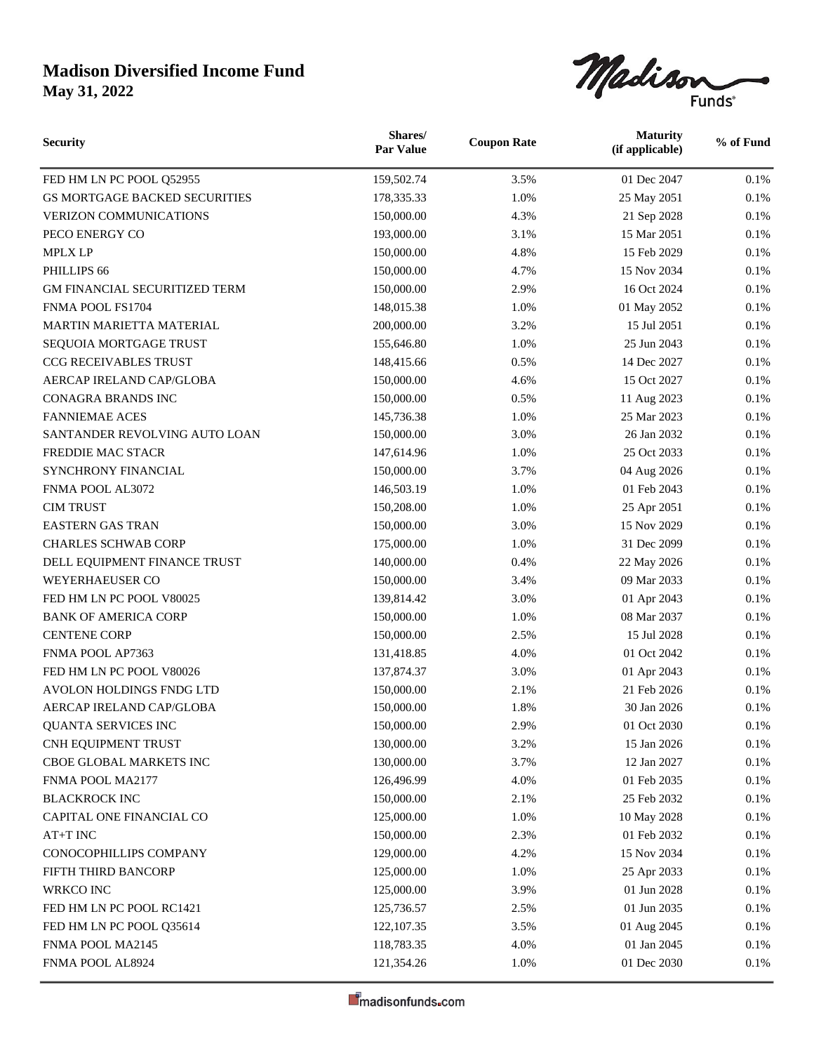

| <b>Security</b>                      | Shares/<br><b>Par Value</b> | <b>Coupon Rate</b> | <b>Maturity</b><br>(if applicable) | % of Fund |
|--------------------------------------|-----------------------------|--------------------|------------------------------------|-----------|
| FED HM LN PC POOL Q52955             | 159,502.74                  | 3.5%               | 01 Dec 2047                        | 0.1%      |
| GS MORTGAGE BACKED SECURITIES        | 178,335.33                  | 1.0%               | 25 May 2051                        | 0.1%      |
| <b>VERIZON COMMUNICATIONS</b>        | 150,000.00                  | 4.3%               | 21 Sep 2028                        | 0.1%      |
| PECO ENERGY CO                       | 193,000.00                  | 3.1%               | 15 Mar 2051                        | 0.1%      |
| <b>MPLX LP</b>                       | 150,000.00                  | 4.8%               | 15 Feb 2029                        | 0.1%      |
| PHILLIPS 66                          | 150,000.00                  | 4.7%               | 15 Nov 2034                        | 0.1%      |
| <b>GM FINANCIAL SECURITIZED TERM</b> | 150,000.00                  | 2.9%               | 16 Oct 2024                        | 0.1%      |
| FNMA POOL FS1704                     | 148,015.38                  | 1.0%               | 01 May 2052                        | 0.1%      |
| <b>MARTIN MARIETTA MATERIAL</b>      | 200,000.00                  | 3.2%               | 15 Jul 2051                        | 0.1%      |
| SEQUOIA MORTGAGE TRUST               | 155,646.80                  | 1.0%               | 25 Jun 2043                        | 0.1%      |
| CCG RECEIVABLES TRUST                | 148,415.66                  | 0.5%               | 14 Dec 2027                        | 0.1%      |
| AERCAP IRELAND CAP/GLOBA             | 150,000.00                  | 4.6%               | 15 Oct 2027                        | 0.1%      |
| <b>CONAGRA BRANDS INC</b>            | 150,000.00                  | 0.5%               | 11 Aug 2023                        | 0.1%      |
| <b>FANNIEMAE ACES</b>                | 145,736.38                  | 1.0%               | 25 Mar 2023                        | 0.1%      |
| SANTANDER REVOLVING AUTO LOAN        | 150,000.00                  | 3.0%               | 26 Jan 2032                        | 0.1%      |
| FREDDIE MAC STACR                    | 147,614.96                  | 1.0%               | 25 Oct 2033                        | 0.1%      |
| SYNCHRONY FINANCIAL                  | 150,000.00                  | 3.7%               | 04 Aug 2026                        | 0.1%      |
| FNMA POOL AL3072                     | 146,503.19                  | 1.0%               | 01 Feb 2043                        | 0.1%      |
| <b>CIM TRUST</b>                     | 150,208.00                  | 1.0%               | 25 Apr 2051                        | 0.1%      |
| <b>EASTERN GAS TRAN</b>              | 150,000.00                  | 3.0%               | 15 Nov 2029                        | 0.1%      |
| <b>CHARLES SCHWAB CORP</b>           | 175,000.00                  | 1.0%               | 31 Dec 2099                        | 0.1%      |
| DELL EQUIPMENT FINANCE TRUST         | 140,000.00                  | 0.4%               | 22 May 2026                        | 0.1%      |
| WEYERHAEUSER CO                      | 150,000.00                  | 3.4%               | 09 Mar 2033                        | 0.1%      |
| FED HM LN PC POOL V80025             | 139,814.42                  | 3.0%               | 01 Apr 2043                        | 0.1%      |
| <b>BANK OF AMERICA CORP</b>          | 150,000.00                  | 1.0%               | 08 Mar 2037                        | 0.1%      |
| <b>CENTENE CORP</b>                  | 150,000.00                  | 2.5%               | 15 Jul 2028                        | 0.1%      |
| FNMA POOL AP7363                     | 131,418.85                  | 4.0%               | 01 Oct 2042                        | 0.1%      |
| FED HM LN PC POOL V80026             | 137,874.37                  | 3.0%               | 01 Apr 2043                        | 0.1%      |
| AVOLON HOLDINGS FNDG LTD             | 150,000.00                  | 2.1%               | 21 Feb 2026                        | 0.1%      |
| AERCAP IRELAND CAP/GLOBA             | 150,000.00                  | 1.8%               | 30 Jan 2026                        | 0.1%      |
| QUANTA SERVICES INC                  | 150,000.00                  | 2.9%               | 01 Oct 2030                        | $0.1\%$   |
| CNH EQUIPMENT TRUST                  | 130,000.00                  | 3.2%               | 15 Jan 2026                        | $0.1\%$   |
| CBOE GLOBAL MARKETS INC              | 130,000.00                  | 3.7%               | 12 Jan 2027                        | 0.1%      |
| FNMA POOL MA2177                     | 126,496.99                  | 4.0%               | 01 Feb 2035                        | 0.1%      |
| <b>BLACKROCK INC</b>                 | 150,000.00                  | 2.1%               | 25 Feb 2032                        | 0.1%      |
| CAPITAL ONE FINANCIAL CO             | 125,000.00                  | 1.0%               | 10 May 2028                        | $0.1\%$   |
| AT+T INC                             | 150,000.00                  | 2.3%               | 01 Feb 2032                        | 0.1%      |
| CONOCOPHILLIPS COMPANY               | 129,000.00                  | 4.2%               | 15 Nov 2034                        | 0.1%      |
| FIFTH THIRD BANCORP                  | 125,000.00                  | 1.0%               | 25 Apr 2033                        | 0.1%      |
| WRKCO INC                            | 125,000.00                  | 3.9%               | 01 Jun 2028                        | $0.1\%$   |
| FED HM LN PC POOL RC1421             | 125,736.57                  | 2.5%               | 01 Jun 2035                        | $0.1\%$   |
| FED HM LN PC POOL Q35614             | 122, 107.35                 | 3.5%               | 01 Aug 2045                        | 0.1%      |
| FNMA POOL MA2145                     | 118,783.35                  | 4.0%               | 01 Jan 2045                        | 0.1%      |
| FNMA POOL AL8924                     | 121,354.26                  | 1.0%               | 01 Dec 2030                        | 0.1%      |
|                                      |                             |                    |                                    |           |

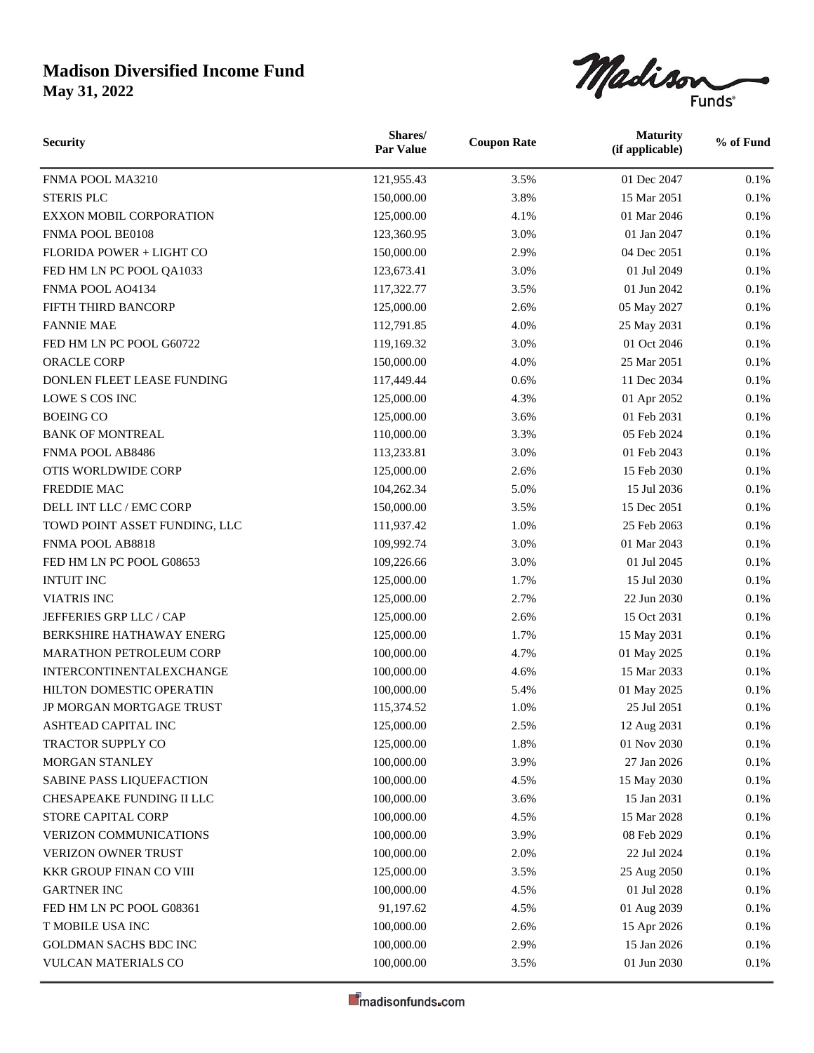

| <b>Security</b>                | Shares/<br><b>Par Value</b> | <b>Coupon Rate</b> | <b>Maturity</b><br>(if applicable) | % of Fund |
|--------------------------------|-----------------------------|--------------------|------------------------------------|-----------|
| FNMA POOL MA3210               | 121,955.43                  | 3.5%               | 01 Dec 2047                        | 0.1%      |
| <b>STERIS PLC</b>              | 150,000.00                  | 3.8%               | 15 Mar 2051                        | 0.1%      |
| <b>EXXON MOBIL CORPORATION</b> | 125,000.00                  | 4.1%               | 01 Mar 2046                        | 0.1%      |
| FNMA POOL BE0108               | 123,360.95                  | 3.0%               | 01 Jan 2047                        | 0.1%      |
| FLORIDA POWER + LIGHT CO       | 150,000.00                  | 2.9%               | 04 Dec 2051                        | 0.1%      |
| FED HM LN PC POOL QA1033       | 123,673.41                  | 3.0%               | 01 Jul 2049                        | 0.1%      |
| FNMA POOL AO4134               | 117,322.77                  | 3.5%               | 01 Jun 2042                        | 0.1%      |
| FIFTH THIRD BANCORP            | 125,000.00                  | 2.6%               | 05 May 2027                        | 0.1%      |
| <b>FANNIE MAE</b>              | 112,791.85                  | 4.0%               | 25 May 2031                        | 0.1%      |
| FED HM LN PC POOL G60722       | 119,169.32                  | 3.0%               | 01 Oct 2046                        | 0.1%      |
| <b>ORACLE CORP</b>             | 150,000.00                  | 4.0%               | 25 Mar 2051                        | 0.1%      |
| DONLEN FLEET LEASE FUNDING     | 117,449.44                  | 0.6%               | 11 Dec 2034                        | 0.1%      |
| LOWE S COS INC                 | 125,000.00                  | 4.3%               | 01 Apr 2052                        | 0.1%      |
| <b>BOEING CO</b>               | 125,000.00                  | 3.6%               | 01 Feb 2031                        | 0.1%      |
| <b>BANK OF MONTREAL</b>        | 110,000.00                  | 3.3%               | 05 Feb 2024                        | 0.1%      |
| FNMA POOL AB8486               | 113,233.81                  | 3.0%               | 01 Feb 2043                        | 0.1%      |
| OTIS WORLDWIDE CORP            | 125,000.00                  | 2.6%               | 15 Feb 2030                        | 0.1%      |
| FREDDIE MAC                    | 104,262.34                  | 5.0%               | 15 Jul 2036                        | 0.1%      |
| DELL INT LLC / EMC CORP        | 150,000.00                  | 3.5%               | 15 Dec 2051                        | 0.1%      |
| TOWD POINT ASSET FUNDING, LLC  | 111,937.42                  | 1.0%               | 25 Feb 2063                        | 0.1%      |
| FNMA POOL AB8818               | 109,992.74                  | 3.0%               | 01 Mar 2043                        | 0.1%      |
| FED HM LN PC POOL G08653       | 109,226.66                  | 3.0%               | 01 Jul 2045                        | 0.1%      |
| <b>INTUIT INC</b>              | 125,000.00                  | 1.7%               | 15 Jul 2030                        | 0.1%      |
| <b>VIATRIS INC</b>             | 125,000.00                  | 2.7%               | 22 Jun 2030                        | 0.1%      |
| JEFFERIES GRP LLC / CAP        | 125,000.00                  | 2.6%               | 15 Oct 2031                        | 0.1%      |
| BERKSHIRE HATHAWAY ENERG       | 125,000.00                  | 1.7%               | 15 May 2031                        | 0.1%      |
| MARATHON PETROLEUM CORP        | 100,000.00                  | 4.7%               | 01 May 2025                        | 0.1%      |
| INTERCONTINENTALEXCHANGE       | 100,000.00                  | 4.6%               | 15 Mar 2033                        | 0.1%      |
| HILTON DOMESTIC OPERATIN       | 100,000.00                  | 5.4%               | 01 May 2025                        | 0.1%      |
| JP MORGAN MORTGAGE TRUST       | 115,374.52                  | 1.0%               | 25 Jul 2051                        | 0.1%      |
| ASHTEAD CAPITAL INC            | 125,000.00                  | 2.5%               | 12 Aug 2031                        | $0.1\%$   |
| <b>TRACTOR SUPPLY CO</b>       | 125,000.00                  | 1.8%               | 01 Nov 2030                        | 0.1%      |
| MORGAN STANLEY                 | 100,000.00                  | 3.9%               | 27 Jan 2026                        | 0.1%      |
| SABINE PASS LIQUEFACTION       | 100,000.00                  | 4.5%               | 15 May 2030                        | 0.1%      |
| CHESAPEAKE FUNDING II LLC      | 100,000.00                  | 3.6%               | 15 Jan 2031                        | 0.1%      |
| STORE CAPITAL CORP             | 100,000.00                  | 4.5%               | 15 Mar 2028                        | $0.1\%$   |
| VERIZON COMMUNICATIONS         | 100,000.00                  | 3.9%               | 08 Feb 2029                        | 0.1%      |
| VERIZON OWNER TRUST            | 100,000.00                  | 2.0%               | 22 Jul 2024                        | 0.1%      |
| KKR GROUP FINAN CO VIII        | 125,000.00                  | 3.5%               | 25 Aug 2050                        | $0.1\%$   |
| <b>GARTNER INC</b>             | 100,000.00                  | 4.5%               | 01 Jul 2028                        | 0.1%      |
| FED HM LN PC POOL G08361       | 91,197.62                   | 4.5%               | 01 Aug 2039                        | 0.1%      |
| T MOBILE USA INC               | 100,000.00                  | 2.6%               | 15 Apr 2026                        | 0.1%      |
| GOLDMAN SACHS BDC INC          | 100,000.00                  | 2.9%               | 15 Jan 2026                        | $0.1\%$   |
| VULCAN MATERIALS CO            | 100,000.00                  | 3.5%               | 01 Jun 2030                        | 0.1%      |
|                                |                             |                    |                                    |           |

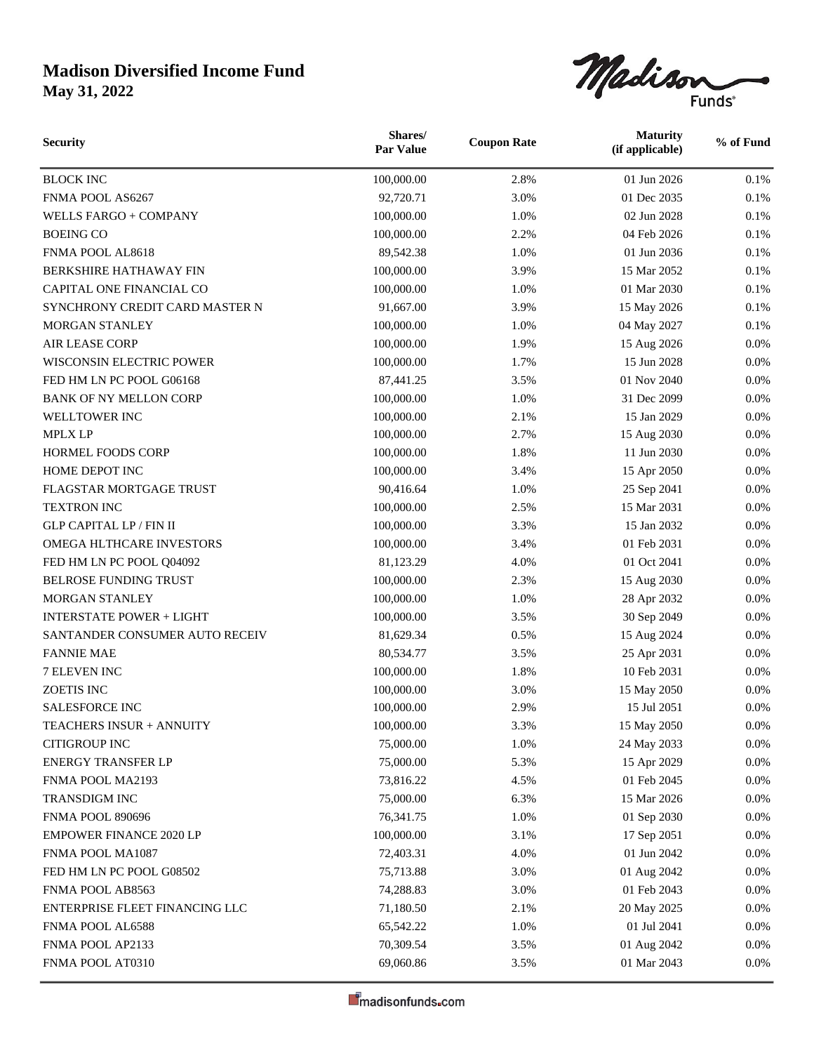

| <b>Security</b>                 | Shares/<br><b>Par Value</b> | <b>Coupon Rate</b> | <b>Maturity</b><br>(if applicable) | % of Fund |
|---------------------------------|-----------------------------|--------------------|------------------------------------|-----------|
| <b>BLOCK INC</b>                | 100,000.00                  | 2.8%               | 01 Jun 2026                        | 0.1%      |
| FNMA POOL AS6267                | 92,720.71                   | 3.0%               | 01 Dec 2035                        | 0.1%      |
| WELLS FARGO + COMPANY           | 100,000.00                  | 1.0%               | 02 Jun 2028                        | 0.1%      |
| <b>BOEING CO</b>                | 100,000.00                  | 2.2%               | 04 Feb 2026                        | 0.1%      |
| FNMA POOL AL8618                | 89,542.38                   | 1.0%               | 01 Jun 2036                        | 0.1%      |
| BERKSHIRE HATHAWAY FIN          | 100,000.00                  | 3.9%               | 15 Mar 2052                        | 0.1%      |
| CAPITAL ONE FINANCIAL CO        | 100,000.00                  | 1.0%               | 01 Mar 2030                        | 0.1%      |
| SYNCHRONY CREDIT CARD MASTER N  | 91,667.00                   | 3.9%               | 15 May 2026                        | 0.1%      |
| <b>MORGAN STANLEY</b>           | 100,000.00                  | 1.0%               | 04 May 2027                        | 0.1%      |
| <b>AIR LEASE CORP</b>           | 100,000.00                  | 1.9%               | 15 Aug 2026                        | 0.0%      |
| WISCONSIN ELECTRIC POWER        | 100,000.00                  | 1.7%               | 15 Jun 2028                        | 0.0%      |
| FED HM LN PC POOL G06168        | 87,441.25                   | 3.5%               | 01 Nov 2040                        | 0.0%      |
| <b>BANK OF NY MELLON CORP</b>   | 100,000.00                  | 1.0%               | 31 Dec 2099                        | 0.0%      |
| WELLTOWER INC                   | 100,000.00                  | 2.1%               | 15 Jan 2029                        | 0.0%      |
| <b>MPLX LP</b>                  | 100,000.00                  | 2.7%               | 15 Aug 2030                        | 0.0%      |
| <b>HORMEL FOODS CORP</b>        | 100,000.00                  | 1.8%               | 11 Jun 2030                        | 0.0%      |
| HOME DEPOT INC                  | 100,000.00                  | 3.4%               | 15 Apr 2050                        | 0.0%      |
| <b>FLAGSTAR MORTGAGE TRUST</b>  | 90,416.64                   | 1.0%               | 25 Sep 2041                        | 0.0%      |
| <b>TEXTRON INC</b>              | 100,000.00                  | 2.5%               | 15 Mar 2031                        | 0.0%      |
| <b>GLP CAPITAL LP / FIN II</b>  | 100,000.00                  | 3.3%               | 15 Jan 2032                        | 0.0%      |
| OMEGA HLTHCARE INVESTORS        | 100,000.00                  | 3.4%               | 01 Feb 2031                        | 0.0%      |
| FED HM LN PC POOL Q04092        | 81,123.29                   | 4.0%               | 01 Oct 2041                        | 0.0%      |
| BELROSE FUNDING TRUST           | 100,000.00                  | 2.3%               | 15 Aug 2030                        | 0.0%      |
| MORGAN STANLEY                  | 100,000.00                  | 1.0%               | 28 Apr 2032                        | 0.0%      |
| <b>INTERSTATE POWER + LIGHT</b> | 100,000.00                  | 3.5%               | 30 Sep 2049                        | 0.0%      |
| SANTANDER CONSUMER AUTO RECEIV  | 81,629.34                   | 0.5%               | 15 Aug 2024                        | 0.0%      |
| <b>FANNIE MAE</b>               | 80,534.77                   | 3.5%               | 25 Apr 2031                        | 0.0%      |
| 7 ELEVEN INC                    | 100,000.00                  | 1.8%               | 10 Feb 2031                        | 0.0%      |
| ZOETIS INC                      | 100,000.00                  | 3.0%               | 15 May 2050                        | 0.0%      |
| <b>SALESFORCE INC</b>           | 100,000.00                  | 2.9%               | 15 Jul 2051                        | 0.0%      |
| TEACHERS INSUR + ANNUITY        | 100,000.00                  | 3.3%               | 15 May 2050                        | $0.0\%$   |
| <b>CITIGROUP INC</b>            | 75,000.00                   | 1.0%               | 24 May 2033                        | 0.0%      |
| ENERGY TRANSFER LP              | 75,000.00                   | 5.3%               | 15 Apr 2029                        | $0.0\%$   |
| FNMA POOL MA2193                | 73,816.22                   | 4.5%               | 01 Feb 2045                        | 0.0%      |
| TRANSDIGM INC                   | 75,000.00                   | 6.3%               | 15 Mar 2026                        | 0.0%      |
| <b>FNMA POOL 890696</b>         | 76,341.75                   | 1.0%               | 01 Sep 2030                        | $0.0\%$   |
| <b>EMPOWER FINANCE 2020 LP</b>  | 100,000.00                  | 3.1%               | 17 Sep 2051                        | 0.0%      |
| FNMA POOL MA1087                | 72,403.31                   | 4.0%               | 01 Jun 2042                        | 0.0%      |
| FED HM LN PC POOL G08502        | 75,713.88                   | 3.0%               | 01 Aug 2042                        | 0.0%      |
| FNMA POOL AB8563                | 74,288.83                   | 3.0%               | 01 Feb 2043                        | 0.0%      |
| ENTERPRISE FLEET FINANCING LLC  | 71,180.50                   | 2.1%               | 20 May 2025                        | 0.0%      |
| FNMA POOL AL6588                | 65,542.22                   | 1.0%               | 01 Jul 2041                        | 0.0%      |
| FNMA POOL AP2133                | 70,309.54                   | 3.5%               | 01 Aug 2042                        | 0.0%      |
| FNMA POOL AT0310                | 69,060.86                   | 3.5%               | 01 Mar 2043                        | $0.0\%$   |
|                                 |                             |                    |                                    |           |

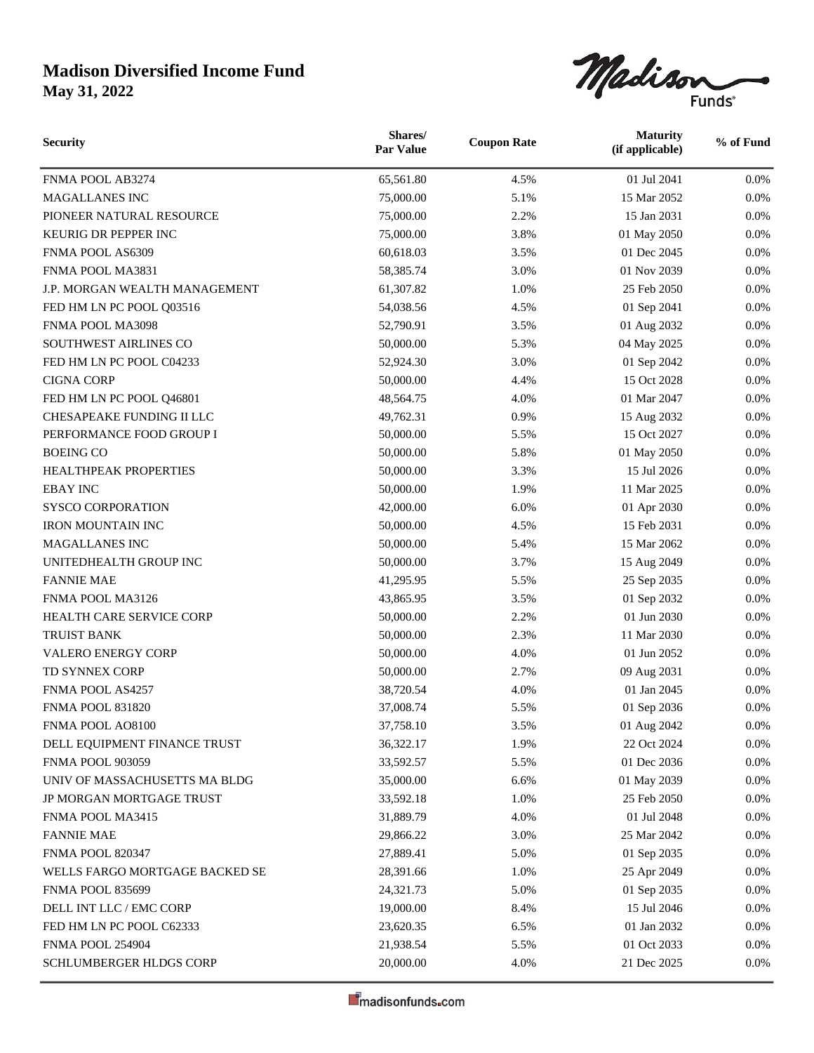

| <b>Security</b>                | Shares/<br><b>Par Value</b> | <b>Coupon Rate</b> | <b>Maturity</b><br>(if applicable) | % of Fund |
|--------------------------------|-----------------------------|--------------------|------------------------------------|-----------|
| FNMA POOL AB3274               | 65,561.80                   | 4.5%               | 01 Jul 2041                        | $0.0\%$   |
| <b>MAGALLANES INC</b>          | 75,000.00                   | 5.1%               | 15 Mar 2052                        | 0.0%      |
| PIONEER NATURAL RESOURCE       | 75,000.00                   | 2.2%               | 15 Jan 2031                        | 0.0%      |
| KEURIG DR PEPPER INC           | 75,000.00                   | 3.8%               | 01 May 2050                        | 0.0%      |
| FNMA POOL AS6309               | 60,618.03                   | 3.5%               | 01 Dec 2045                        | 0.0%      |
| FNMA POOL MA3831               | 58,385.74                   | 3.0%               | 01 Nov 2039                        | 0.0%      |
| J.P. MORGAN WEALTH MANAGEMENT  | 61,307.82                   | 1.0%               | 25 Feb 2050                        | 0.0%      |
| FED HM LN PC POOL Q03516       | 54,038.56                   | 4.5%               | 01 Sep 2041                        | 0.0%      |
| FNMA POOL MA3098               | 52,790.91                   | 3.5%               | 01 Aug 2032                        | 0.0%      |
| SOUTHWEST AIRLINES CO          | 50,000.00                   | 5.3%               | 04 May 2025                        | 0.0%      |
| FED HM LN PC POOL C04233       | 52,924.30                   | 3.0%               | 01 Sep 2042                        | 0.0%      |
| <b>CIGNA CORP</b>              | 50,000.00                   | 4.4%               | 15 Oct 2028                        | 0.0%      |
| FED HM LN PC POOL Q46801       | 48,564.75                   | 4.0%               | 01 Mar 2047                        | 0.0%      |
| CHESAPEAKE FUNDING II LLC      | 49,762.31                   | 0.9%               | 15 Aug 2032                        | 0.0%      |
| PERFORMANCE FOOD GROUP I       | 50,000.00                   | 5.5%               | 15 Oct 2027                        | 0.0%      |
| <b>BOEING CO</b>               | 50,000.00                   | 5.8%               | 01 May 2050                        | 0.0%      |
| HEALTHPEAK PROPERTIES          | 50,000.00                   | 3.3%               | 15 Jul 2026                        | 0.0%      |
| <b>EBAY INC</b>                | 50,000.00                   | 1.9%               | 11 Mar 2025                        | 0.0%      |
| <b>SYSCO CORPORATION</b>       | 42,000.00                   | 6.0%               | 01 Apr 2030                        | 0.0%      |
| <b>IRON MOUNTAIN INC</b>       | 50,000.00                   | 4.5%               | 15 Feb 2031                        | 0.0%      |
| MAGALLANES INC                 | 50,000.00                   | 5.4%               | 15 Mar 2062                        | 0.0%      |
| UNITEDHEALTH GROUP INC         | 50,000.00                   | 3.7%               | 15 Aug 2049                        | 0.0%      |
| <b>FANNIE MAE</b>              | 41,295.95                   | 5.5%               | 25 Sep 2035                        | 0.0%      |
| FNMA POOL MA3126               | 43,865.95                   | 3.5%               | 01 Sep 2032                        | 0.0%      |
| HEALTH CARE SERVICE CORP       | 50,000.00                   | 2.2%               | 01 Jun 2030                        | 0.0%      |
| <b>TRUIST BANK</b>             | 50,000.00                   | 2.3%               | 11 Mar 2030                        | 0.0%      |
| <b>VALERO ENERGY CORP</b>      | 50,000.00                   | 4.0%               | 01 Jun 2052                        | 0.0%      |
| TD SYNNEX CORP                 | 50,000.00                   | 2.7%               | 09 Aug 2031                        | 0.0%      |
| FNMA POOL AS4257               | 38,720.54                   | 4.0%               | 01 Jan 2045                        | 0.0%      |
| <b>FNMA POOL 831820</b>        | 37,008.74                   | 5.5%               | 01 Sep 2036                        | 0.0%      |
| FNMA POOL AO8100               | 37,758.10                   | 3.5%               | 01 Aug 2042                        | $0.0\%$   |
| DELL EQUIPMENT FINANCE TRUST   | 36,322.17                   | 1.9%               | 22 Oct 2024                        | $0.0\%$   |
| <b>FNMA POOL 903059</b>        | 33,592.57                   | 5.5%               | 01 Dec 2036                        | $0.0\%$   |
| UNIV OF MASSACHUSETTS MA BLDG  | 35,000.00                   | 6.6%               | 01 May 2039                        | 0.0%      |
| JP MORGAN MORTGAGE TRUST       | 33,592.18                   | 1.0%               | 25 Feb 2050                        | 0.0%      |
| FNMA POOL MA3415               | 31,889.79                   | 4.0%               | 01 Jul 2048                        | $0.0\%$   |
| <b>FANNIE MAE</b>              | 29,866.22                   | 3.0%               | 25 Mar 2042                        | 0.0%      |
| <b>FNMA POOL 820347</b>        | 27,889.41                   | 5.0%               | 01 Sep 2035                        | 0.0%      |
| WELLS FARGO MORTGAGE BACKED SE | 28,391.66                   | 1.0%               | 25 Apr 2049                        | 0.0%      |
| <b>FNMA POOL 835699</b>        | 24,321.73                   | 5.0%               | 01 Sep 2035                        | 0.0%      |
| DELL INT LLC / EMC CORP        | 19,000.00                   | 8.4%               | 15 Jul 2046                        | 0.0%      |
| FED HM LN PC POOL C62333       | 23,620.35                   | 6.5%               | 01 Jan 2032                        | 0.0%      |
| FNMA POOL 254904               | 21,938.54                   | 5.5%               | 01 Oct 2033                        | 0.0%      |
| SCHLUMBERGER HLDGS CORP        | 20,000.00                   | 4.0%               | 21 Dec 2025                        | $0.0\%$   |
|                                |                             |                    |                                    |           |